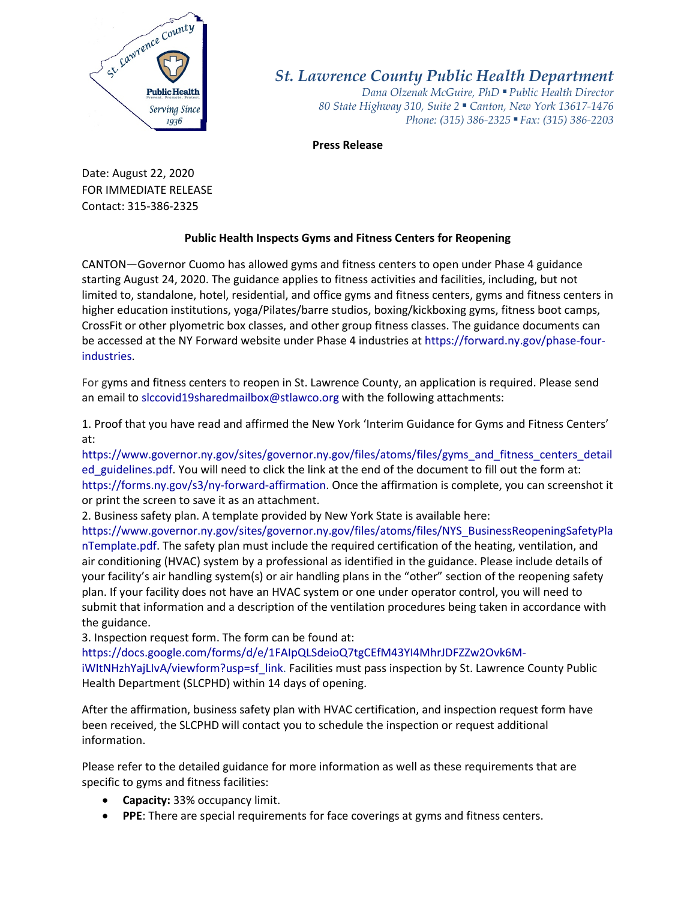

*St. Lawrence County Public Health Department*

*Dana Olzenak McGuire, PhD ■ Public Health Director 80 State Highway 310, Suite 2 ■ Canton, New York 13617-1476 Phone: (315) 386-2325* ■ *Fax: (315) 386-2203*

**Press Release**

Date: August 22, 2020 FOR IMMEDIATE RELEASE Contact: 315-386-2325

## **Public Health Inspects Gyms and Fitness Centers for Reopening**

CANTON—Governor Cuomo has allowed gyms and fitness centers to open under Phase 4 guidance starting August 24, 2020. The guidance applies to fitness activities and facilities, including, but not limited to, standalone, hotel, residential, and office gyms and fitness centers, gyms and fitness centers in higher education institutions, yoga/Pilates/barre studios, boxing/kickboxing gyms, fitness boot camps, CrossFit or other plyometric box classes, and other group fitness classes. The guidance documents can be accessed at the NY Forward website under Phase 4 industries a[t https://forward.ny.gov/phase-four](https://forward.ny.gov/phase-four-industries)[industries.](https://forward.ny.gov/phase-four-industries)

For gyms and fitness centers to reopen in St. Lawrence County, an application is required. Please send an email to [slccovid19sharedmailbox@stlawco.org](mailto:slccovid19sharedmailbox@stlawco.org) with the following attachments:

1. Proof that you have read and affirmed the New York 'Interim Guidance for Gyms and Fitness Centers' at:

[https://www.governor.ny.gov/sites/governor.ny.gov/files/atoms/files/gyms\\_and\\_fitness\\_centers\\_detail](https://www.governor.ny.gov/sites/governor.ny.gov/files/atoms/files/gyms_and_fitness_centers_detailed_guidelines.pdf) ed guidelines.pdf. You will need to click the link at the end of the document to fill out the form at: [https://forms.ny.gov/s3/ny-forward-affirmation.](https://forms.ny.gov/s3/ny-forward-affirmation) Once the affirmation is complete, you can screenshot it or print the screen to save it as an attachment.

2. Business safety plan. A template provided by New York State is available here:

[https://www.governor.ny.gov/sites/governor.ny.gov/files/atoms/files/NYS\\_BusinessReopeningSafetyPla](https://www.governor.ny.gov/sites/governor.ny.gov/files/atoms/files/NYS_BusinessReopeningSafetyPlanTemplate.pdf) [nTemplate.pdf.](https://www.governor.ny.gov/sites/governor.ny.gov/files/atoms/files/NYS_BusinessReopeningSafetyPlanTemplate.pdf) The safety plan must include the required certification of the heating, ventilation, and air conditioning (HVAC) system by a professional as identified in the guidance. Please include details of your facility's air handling system(s) or air handling plans in the "other" section of the reopening safety plan. If your facility does not have an HVAC system or one under operator control, you will need to submit that information and a description of the ventilation procedures being taken in accordance with the guidance.

3. Inspection request form. The form can be found at:

[https://docs.google.com/forms/d/e/1FAIpQLSdeioQ7tgCEfM43YI4MhrJDFZZw2Ovk6M](https://docs.google.com/forms/d/e/1FAIpQLSdeioQ7tgCEfM43YI4MhrJDFZZw2Ovk6M-iWItNHzhYajLIvA/viewform?usp=sf_link)[iWItNHzhYajLIvA/viewform?usp=sf\\_link.](https://docs.google.com/forms/d/e/1FAIpQLSdeioQ7tgCEfM43YI4MhrJDFZZw2Ovk6M-iWItNHzhYajLIvA/viewform?usp=sf_link) Facilities must pass inspection by St. Lawrence County Public

Health Department (SLCPHD) within 14 days of opening.

After the affirmation, business safety plan with HVAC certification, and inspection request form have been received, the SLCPHD will contact you to schedule the inspection or request additional information.

Please refer to the detailed guidance for more information as well as these requirements that are specific to gyms and fitness facilities:

- **Capacity:** 33% occupancy limit.
- **PPE**: There are special requirements for face coverings at gyms and fitness centers.